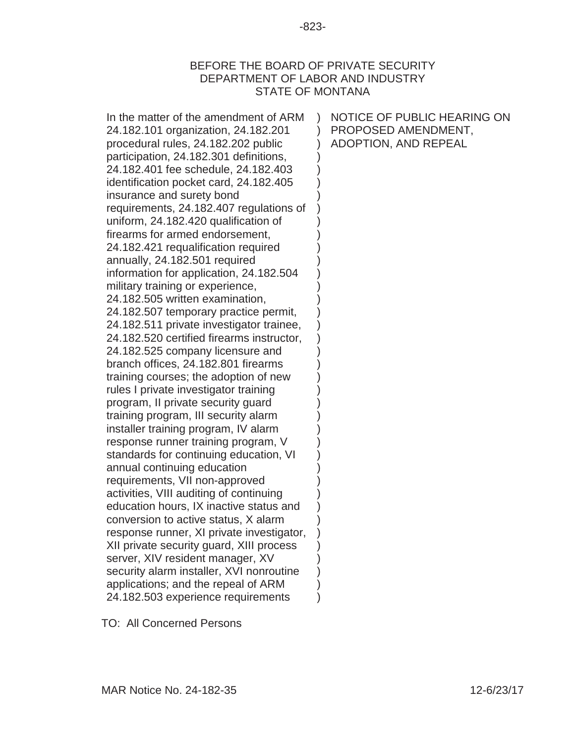### BEFORE THE BOARD OF PRIVATE SECURITY DEPARTMENT OF LABOR AND INDUSTRY STATE OF MONTANA

| In the matter of the amendment of ARM<br>24.182.101 organization, 24.182.201<br>procedural rules, 24.182.202 public<br>participation, 24.182.301 definitions,<br>24.182.401 fee schedule, 24.182.403<br>identification pocket card, 24.182.405<br>insurance and surety bond<br>requirements, 24.182.407 regulations of<br>uniform, 24.182.420 qualification of<br>firearms for armed endorsement,<br>24.182.421 requalification required<br>annually, 24.182.501 required<br>information for application, 24.182.504<br>military training or experience,<br>24.182.505 written examination,<br>24.182.507 temporary practice permit,<br>24.182.511 private investigator trainee,<br>24.182.520 certified firearms instructor,<br>24.182.525 company licensure and<br>branch offices, 24.182.801 firearms<br>training courses; the adoption of new<br>rules I private investigator training<br>program, Il private security guard<br>training program, III security alarm<br>installer training program, IV alarm<br>response runner training program, V<br>standards for continuing education, VI<br>annual continuing education<br>requirements, VII non-approved<br>activities, VIII auditing of continuing<br>education hours, IX inactive status and<br>conversion to active status, X alarm<br>response runner, XI private investigator,<br>XII private security guard, XIII process<br>server, XIV resident manager, XV | NOTICE OF PUBLIC HEARING ON<br>PROPOSED AMENDMENT,<br>ADOPTION, AND REPEAL |
|-------------------------------------------------------------------------------------------------------------------------------------------------------------------------------------------------------------------------------------------------------------------------------------------------------------------------------------------------------------------------------------------------------------------------------------------------------------------------------------------------------------------------------------------------------------------------------------------------------------------------------------------------------------------------------------------------------------------------------------------------------------------------------------------------------------------------------------------------------------------------------------------------------------------------------------------------------------------------------------------------------------------------------------------------------------------------------------------------------------------------------------------------------------------------------------------------------------------------------------------------------------------------------------------------------------------------------------------------------------------------------------------------------------------------------|----------------------------------------------------------------------------|
|                                                                                                                                                                                                                                                                                                                                                                                                                                                                                                                                                                                                                                                                                                                                                                                                                                                                                                                                                                                                                                                                                                                                                                                                                                                                                                                                                                                                                               |                                                                            |
|                                                                                                                                                                                                                                                                                                                                                                                                                                                                                                                                                                                                                                                                                                                                                                                                                                                                                                                                                                                                                                                                                                                                                                                                                                                                                                                                                                                                                               |                                                                            |
|                                                                                                                                                                                                                                                                                                                                                                                                                                                                                                                                                                                                                                                                                                                                                                                                                                                                                                                                                                                                                                                                                                                                                                                                                                                                                                                                                                                                                               |                                                                            |
| security alarm installer, XVI nonroutine                                                                                                                                                                                                                                                                                                                                                                                                                                                                                                                                                                                                                                                                                                                                                                                                                                                                                                                                                                                                                                                                                                                                                                                                                                                                                                                                                                                      |                                                                            |
|                                                                                                                                                                                                                                                                                                                                                                                                                                                                                                                                                                                                                                                                                                                                                                                                                                                                                                                                                                                                                                                                                                                                                                                                                                                                                                                                                                                                                               |                                                                            |
| applications; and the repeal of ARM                                                                                                                                                                                                                                                                                                                                                                                                                                                                                                                                                                                                                                                                                                                                                                                                                                                                                                                                                                                                                                                                                                                                                                                                                                                                                                                                                                                           |                                                                            |
| 24.182.503 experience requirements                                                                                                                                                                                                                                                                                                                                                                                                                                                                                                                                                                                                                                                                                                                                                                                                                                                                                                                                                                                                                                                                                                                                                                                                                                                                                                                                                                                            |                                                                            |

TO: All Concerned Persons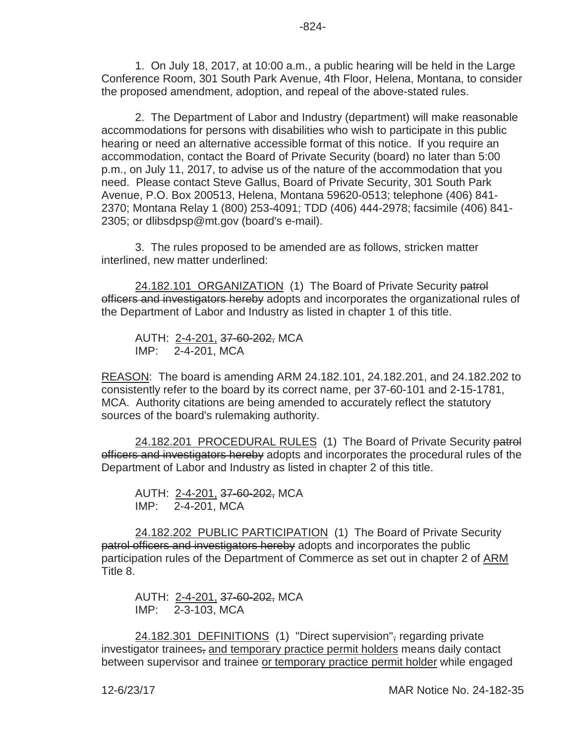1. On July 18, 2017, at 10:00 a.m., a public hearing will be held in the Large Conference Room, 301 South Park Avenue, 4th Floor, Helena, Montana, to consider the proposed amendment, adoption, and repeal of the above-stated rules.

2. The Department of Labor and Industry (department) will make reasonable accommodations for persons with disabilities who wish to participate in this public hearing or need an alternative accessible format of this notice. If you require an accommodation, contact the Board of Private Security (board) no later than 5:00 p.m., on July 11, 2017, to advise us of the nature of the accommodation that you need. Please contact Steve Gallus, Board of Private Security, 301 South Park Avenue, P.O. Box 200513, Helena, Montana 59620-0513; telephone (406) 841- 2370; Montana Relay 1 (800) 253-4091; TDD (406) 444-2978; facsimile (406) 841- 2305; or dlibsdpsp@mt.gov (board's e-mail).

3. The rules proposed to be amended are as follows, stricken matter interlined, new matter underlined:

24.182.101 ORGANIZATION (1) The Board of Private Security patrol officers and investigators hereby adopts and incorporates the organizational rules of the Department of Labor and Industry as listed in chapter 1 of this title.

AUTH: 2-4-201, 37-60-202, MCA IMP: 2-4-201, MCA

REASON: The board is amending ARM 24.182.101, 24.182.201, and 24.182.202 to consistently refer to the board by its correct name, per 37-60-101 and 2-15-1781, MCA. Authority citations are being amended to accurately reflect the statutory sources of the board's rulemaking authority.

24.182.201 PROCEDURAL RULES (1) The Board of Private Security patrol officers and investigators hereby adopts and incorporates the procedural rules of the Department of Labor and Industry as listed in chapter 2 of this title.

AUTH: 2-4-201, 37-60-202, MCA IMP: 2-4-201, MCA

24.182.202 PUBLIC PARTICIPATION (1) The Board of Private Security patrol officers and investigators hereby adopts and incorporates the public participation rules of the Department of Commerce as set out in chapter 2 of ARM Title 8.

AUTH: 2-4-201, 37-60-202, MCA IMP: 2-3-103, MCA

24.182.301 DEFINITIONS (1) "Direct supervision", regarding private investigator trainees, and temporary practice permit holders means daily contact between supervisor and trainee or temporary practice permit holder while engaged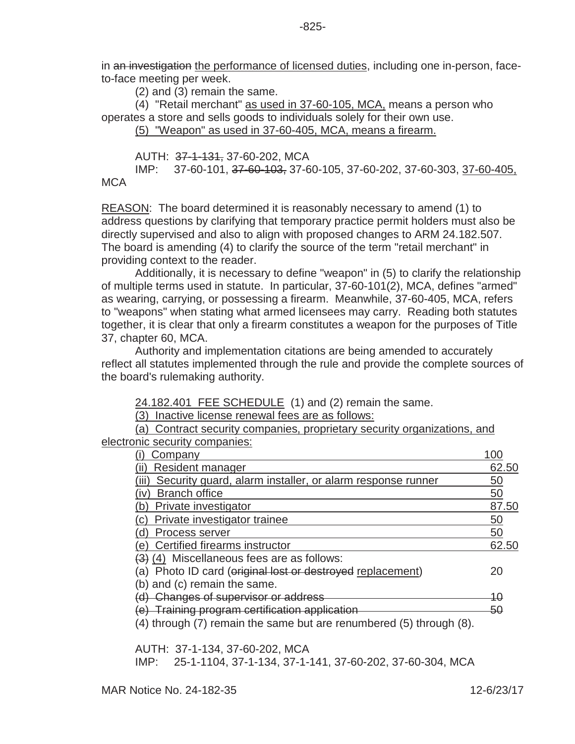in an investigation the performance of licensed duties, including one in-person, faceto-face meeting per week.

(2) and (3) remain the same.

(4) "Retail merchant" as used in 37-60-105, MCA, means a person who operates a store and sells goods to individuals solely for their own use.

(5) "Weapon" as used in 37-60-405, MCA, means a firearm.

AUTH: 37-1-131, 37-60-202, MCA

IMP: 37-60-101, 37-60-103, 37-60-105, 37-60-202, 37-60-303, 37-60-405, **MCA** 

REASON: The board determined it is reasonably necessary to amend (1) to address questions by clarifying that temporary practice permit holders must also be directly supervised and also to align with proposed changes to ARM 24.182.507. The board is amending (4) to clarify the source of the term "retail merchant" in providing context to the reader.

Additionally, it is necessary to define "weapon" in (5) to clarify the relationship of multiple terms used in statute. In particular, 37-60-101(2), MCA, defines "armed" as wearing, carrying, or possessing a firearm. Meanwhile, 37-60-405, MCA, refers to "weapons" when stating what armed licensees may carry. Reading both statutes together, it is clear that only a firearm constitutes a weapon for the purposes of Title 37, chapter 60, MCA.

Authority and implementation citations are being amended to accurately reflect all statutes implemented through the rule and provide the complete sources of the board's rulemaking authority.

24.182.401 FEE SCHEDULE (1) and (2) remain the same.

(3) Inactive license renewal fees are as follows:

(a) Contract security companies, proprietary security organizations, and electronic security companies:

| Company                                                             | 100   |
|---------------------------------------------------------------------|-------|
| Resident manager                                                    | 62.50 |
| Security guard, alarm installer, or alarm response runner           | 50    |
| <b>Branch office</b>                                                | 50    |
| Private investigator                                                | 87.50 |
| Private investigator trainee                                        | 50    |
| Process server                                                      | 50    |
| Certified firearms instructor                                       | 62.50 |
| (4) Miscellaneous fees are as follows:                              |       |
| Photo ID card (original lost or destroyed replacement)<br>'a)       | 20    |
| (b) and (c) remain the same.                                        |       |
| <b>Changes of supervisor or address</b>                             | 10    |
| Training program certification application                          | 50    |
| (4) through (7) remain the same but are renumbered (5) through (8). |       |
|                                                                     |       |

AUTH: 37-1-134, 37-60-202, MCA IMP: 25-1-1104, 37-1-134, 37-1-141, 37-60-202, 37-60-304, MCA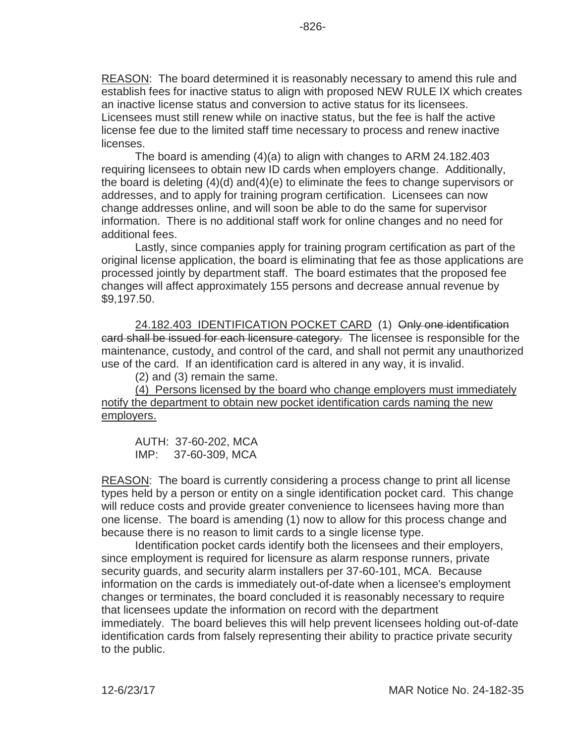REASON: The board determined it is reasonably necessary to amend this rule and establish fees for inactive status to align with proposed NEW RULE IX which creates an inactive license status and conversion to active status for its licensees. Licensees must still renew while on inactive status, but the fee is half the active license fee due to the limited staff time necessary to process and renew inactive licenses.

The board is amending (4)(a) to align with changes to ARM 24.182.403 requiring licensees to obtain new ID cards when employers change. Additionally, the board is deleting (4)(d) and(4)(e) to eliminate the fees to change supervisors or addresses, and to apply for training program certification. Licensees can now change addresses online, and will soon be able to do the same for supervisor information. There is no additional staff work for online changes and no need for additional fees.

Lastly, since companies apply for training program certification as part of the original license application, the board is eliminating that fee as those applications are processed jointly by department staff. The board estimates that the proposed fee changes will affect approximately 155 persons and decrease annual revenue by \$9,197.50.

24.182.403 IDENTIFICATION POCKET CARD (1) Only one identification card shall be issued for each licensure category. The licensee is responsible for the maintenance, custody, and control of the card, and shall not permit any unauthorized use of the card. If an identification card is altered in any way, it is invalid.

(2) and (3) remain the same.

(4) Persons licensed by the board who change employers must immediately notify the department to obtain new pocket identification cards naming the new employers.

AUTH: 37-60-202, MCA IMP: 37-60-309, MCA

REASON: The board is currently considering a process change to print all license types held by a person or entity on a single identification pocket card. This change will reduce costs and provide greater convenience to licensees having more than one license. The board is amending (1) now to allow for this process change and because there is no reason to limit cards to a single license type.

Identification pocket cards identify both the licensees and their employers, since employment is required for licensure as alarm response runners, private security guards, and security alarm installers per 37-60-101, MCA. Because information on the cards is immediately out-of-date when a licensee's employment changes or terminates, the board concluded it is reasonably necessary to require that licensees update the information on record with the department immediately. The board believes this will help prevent licensees holding out-of-date identification cards from falsely representing their ability to practice private security to the public.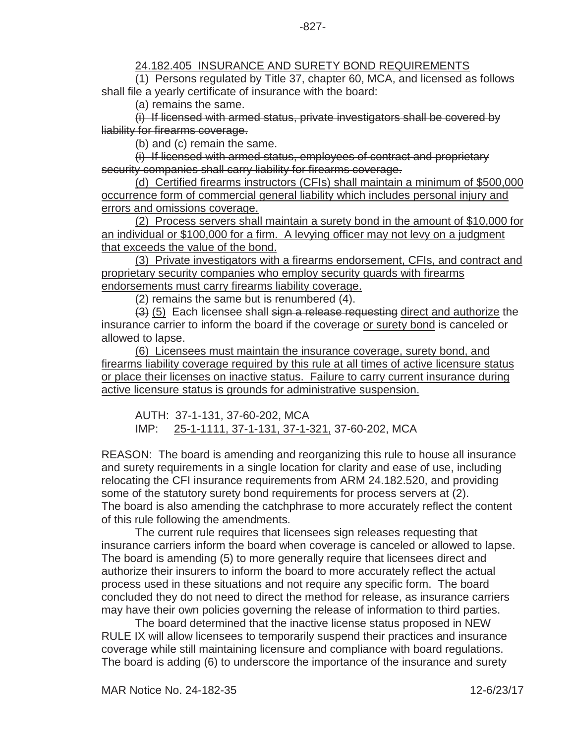## 24.182.405 INSURANCE AND SURETY BOND REQUIREMENTS

(1) Persons regulated by Title 37, chapter 60, MCA, and licensed as follows shall file a yearly certificate of insurance with the board:

(a) remains the same.

(i) If licensed with armed status, private investigators shall be covered by liability for firearms coverage.

(b) and (c) remain the same.

(i) If licensed with armed status, employees of contract and proprietary security companies shall carry liability for firearms coverage.

(d) Certified firearms instructors (CFIs) shall maintain a minimum of \$500,000 occurrence form of commercial general liability which includes personal injury and errors and omissions coverage.

(2) Process servers shall maintain a surety bond in the amount of \$10,000 for an individual or \$100,000 for a firm. A levying officer may not levy on a judgment that exceeds the value of the bond.

(3) Private investigators with a firearms endorsement, CFIs, and contract and proprietary security companies who employ security guards with firearms endorsements must carry firearms liability coverage.

(2) remains the same but is renumbered (4).

(3) (5) Each licensee shall sign a release requesting direct and authorize the insurance carrier to inform the board if the coverage or surety bond is canceled or allowed to lapse.

(6) Licensees must maintain the insurance coverage, surety bond, and firearms liability coverage required by this rule at all times of active licensure status or place their licenses on inactive status. Failure to carry current insurance during active licensure status is grounds for administrative suspension.

AUTH: 37-1-131, 37-60-202, MCA IMP: 25-1-1111, 37-1-131, 37-1-321, 37-60-202, MCA

REASON: The board is amending and reorganizing this rule to house all insurance and surety requirements in a single location for clarity and ease of use, including relocating the CFI insurance requirements from ARM 24.182.520, and providing some of the statutory surety bond requirements for process servers at (2). The board is also amending the catchphrase to more accurately reflect the content of this rule following the amendments.

The current rule requires that licensees sign releases requesting that insurance carriers inform the board when coverage is canceled or allowed to lapse. The board is amending (5) to more generally require that licensees direct and authorize their insurers to inform the board to more accurately reflect the actual process used in these situations and not require any specific form. The board concluded they do not need to direct the method for release, as insurance carriers may have their own policies governing the release of information to third parties.

The board determined that the inactive license status proposed in NEW RULE IX will allow licensees to temporarily suspend their practices and insurance coverage while still maintaining licensure and compliance with board regulations. The board is adding (6) to underscore the importance of the insurance and surety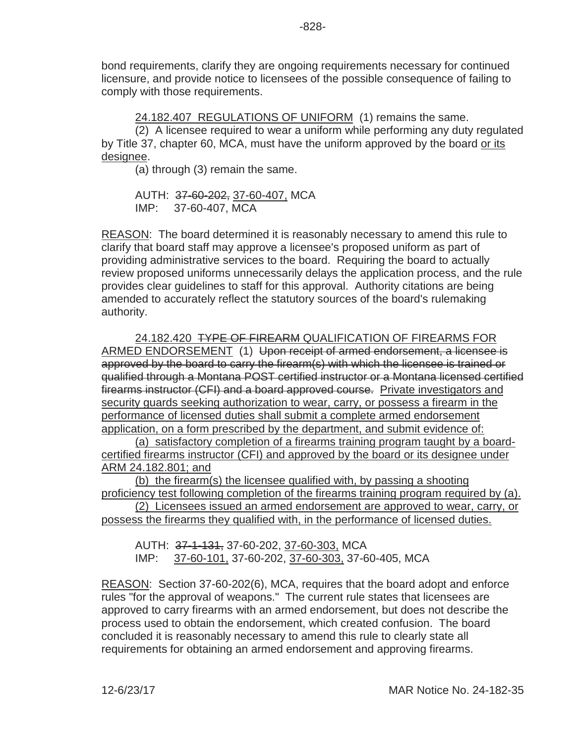bond requirements, clarify they are ongoing requirements necessary for continued licensure, and provide notice to licensees of the possible consequence of failing to comply with those requirements.

24.182.407 REGULATIONS OF UNIFORM (1) remains the same.

(2) A licensee required to wear a uniform while performing any duty regulated by Title 37, chapter 60, MCA, must have the uniform approved by the board or its designee.

(a) through (3) remain the same.

AUTH: 37-60-202, 37-60-407, MCA IMP: 37-60-407, MCA

REASON: The board determined it is reasonably necessary to amend this rule to clarify that board staff may approve a licensee's proposed uniform as part of providing administrative services to the board. Requiring the board to actually review proposed uniforms unnecessarily delays the application process, and the rule provides clear guidelines to staff for this approval. Authority citations are being amended to accurately reflect the statutory sources of the board's rulemaking authority.

24.182.420 TYPE OF FIREARM QUALIFICATION OF FIREARMS FOR ARMED ENDORSEMENT (1) Upon receipt of armed endorsement, a licensee is approved by the board to carry the firearm(s) with which the licensee is trained or qualified through a Montana POST certified instructor or a Montana licensed certified firearms instructor (CFI) and a board approved course. Private investigators and security guards seeking authorization to wear, carry, or possess a firearm in the performance of licensed duties shall submit a complete armed endorsement application, on a form prescribed by the department, and submit evidence of:

(a) satisfactory completion of a firearms training program taught by a boardcertified firearms instructor (CFI) and approved by the board or its designee under ARM 24.182.801; and

(b) the firearm(s) the licensee qualified with, by passing a shooting proficiency test following completion of the firearms training program required by (a).

(2) Licensees issued an armed endorsement are approved to wear, carry, or possess the firearms they qualified with, in the performance of licensed duties.

AUTH: 37-1-131, 37-60-202, 37-60-303, MCA IMP: 37-60-101, 37-60-202, 37-60-303, 37-60-405, MCA

REASON: Section 37-60-202(6), MCA, requires that the board adopt and enforce rules "for the approval of weapons." The current rule states that licensees are approved to carry firearms with an armed endorsement, but does not describe the process used to obtain the endorsement, which created confusion. The board concluded it is reasonably necessary to amend this rule to clearly state all requirements for obtaining an armed endorsement and approving firearms.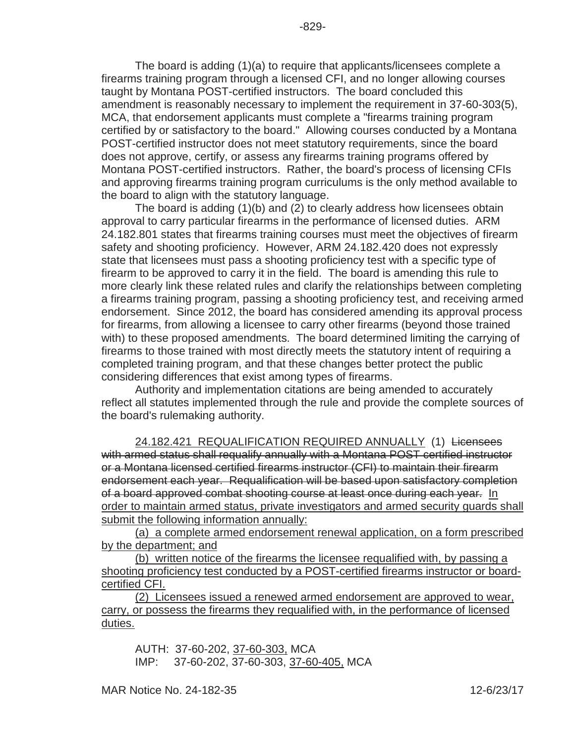The board is adding (1)(a) to require that applicants/licensees complete a firearms training program through a licensed CFI, and no longer allowing courses taught by Montana POST-certified instructors. The board concluded this amendment is reasonably necessary to implement the requirement in 37-60-303(5), MCA, that endorsement applicants must complete a "firearms training program certified by or satisfactory to the board." Allowing courses conducted by a Montana POST-certified instructor does not meet statutory requirements, since the board does not approve, certify, or assess any firearms training programs offered by Montana POST-certified instructors. Rather, the board's process of licensing CFIs and approving firearms training program curriculums is the only method available to the board to align with the statutory language.

The board is adding (1)(b) and (2) to clearly address how licensees obtain approval to carry particular firearms in the performance of licensed duties. ARM 24.182.801 states that firearms training courses must meet the objectives of firearm safety and shooting proficiency. However, ARM 24.182.420 does not expressly state that licensees must pass a shooting proficiency test with a specific type of firearm to be approved to carry it in the field. The board is amending this rule to more clearly link these related rules and clarify the relationships between completing a firearms training program, passing a shooting proficiency test, and receiving armed endorsement. Since 2012, the board has considered amending its approval process for firearms, from allowing a licensee to carry other firearms (beyond those trained with) to these proposed amendments. The board determined limiting the carrying of firearms to those trained with most directly meets the statutory intent of requiring a completed training program, and that these changes better protect the public considering differences that exist among types of firearms.

Authority and implementation citations are being amended to accurately reflect all statutes implemented through the rule and provide the complete sources of the board's rulemaking authority.

24.182.421 REQUALIFICATION REQUIRED ANNUALLY (1) Licensees with armed status shall requalify annually with a Montana POST certified instructor or a Montana licensed certified firearms instructor (CFI) to maintain their firearm endorsement each year. Requalification will be based upon satisfactory completion of a board approved combat shooting course at least once during each year. In order to maintain armed status, private investigators and armed security guards shall submit the following information annually:

(a) a complete armed endorsement renewal application, on a form prescribed by the department; and

(b) written notice of the firearms the licensee requalified with, by passing a shooting proficiency test conducted by a POST-certified firearms instructor or boardcertified CFI.

(2) Licensees issued a renewed armed endorsement are approved to wear, carry, or possess the firearms they requalified with, in the performance of licensed duties.

AUTH: 37-60-202, 37-60-303, MCA IMP: 37-60-202, 37-60-303, 37-60-405, MCA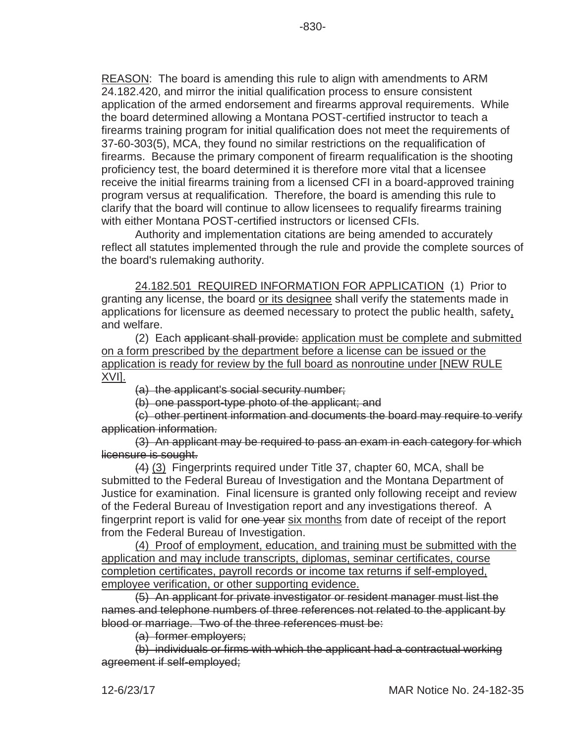REASON: The board is amending this rule to align with amendments to ARM 24.182.420, and mirror the initial qualification process to ensure consistent application of the armed endorsement and firearms approval requirements. While the board determined allowing a Montana POST-certified instructor to teach a firearms training program for initial qualification does not meet the requirements of 37-60-303(5), MCA, they found no similar restrictions on the requalification of firearms. Because the primary component of firearm requalification is the shooting proficiency test, the board determined it is therefore more vital that a licensee receive the initial firearms training from a licensed CFI in a board-approved training program versus at requalification. Therefore, the board is amending this rule to clarify that the board will continue to allow licensees to requalify firearms training with either Montana POST-certified instructors or licensed CFIs.

Authority and implementation citations are being amended to accurately reflect all statutes implemented through the rule and provide the complete sources of the board's rulemaking authority.

24.182.501 REQUIRED INFORMATION FOR APPLICATION (1) Prior to granting any license, the board or its designee shall verify the statements made in applications for licensure as deemed necessary to protect the public health, safety, and welfare.

(2) Each applicant shall provide: application must be complete and submitted on a form prescribed by the department before a license can be issued or the application is ready for review by the full board as nonroutine under [NEW RULE XVI].

(a) the applicant's social security number;

(b) one passport-type photo of the applicant; and

(c) other pertinent information and documents the board may require to verify application information.

(3) An applicant may be required to pass an exam in each category for which licensure is sought.

(4) (3) Fingerprints required under Title 37, chapter 60, MCA, shall be submitted to the Federal Bureau of Investigation and the Montana Department of Justice for examination. Final licensure is granted only following receipt and review of the Federal Bureau of Investigation report and any investigations thereof. A fingerprint report is valid for one year six months from date of receipt of the report from the Federal Bureau of Investigation.

(4) Proof of employment, education, and training must be submitted with the application and may include transcripts, diplomas, seminar certificates, course completion certificates, payroll records or income tax returns if self-employed, employee verification, or other supporting evidence.

(5) An applicant for private investigator or resident manager must list the names and telephone numbers of three references not related to the applicant by blood or marriage. Two of the three references must be:

(a) former employers;

(b) individuals or firms with which the applicant had a contractual working agreement if self-employed;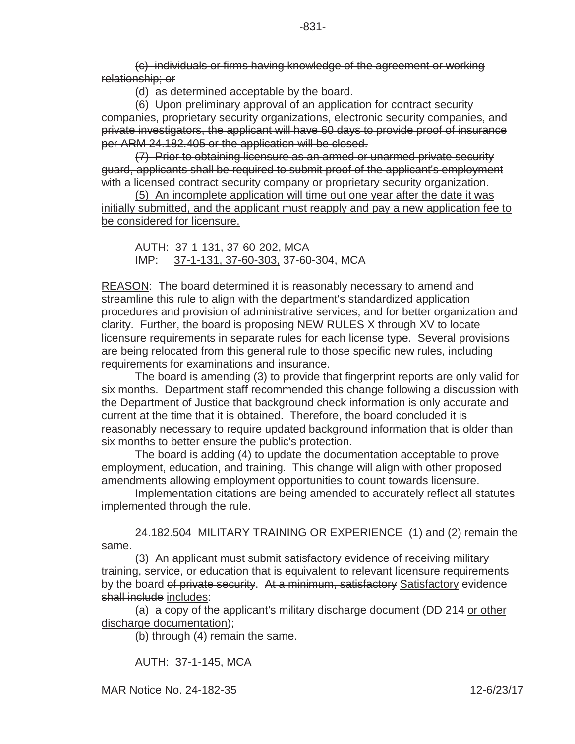(c) individuals or firms having knowledge of the agreement or working relationship; or

(d) as determined acceptable by the board.

(6) Upon preliminary approval of an application for contract security companies, proprietary security organizations, electronic security companies, and private investigators, the applicant will have 60 days to provide proof of insurance per ARM 24.182.405 or the application will be closed.

(7) Prior to obtaining licensure as an armed or unarmed private security guard, applicants shall be required to submit proof of the applicant's employment with a licensed contract security company or proprietary security organization.

(5) An incomplete application will time out one year after the date it was initially submitted, and the applicant must reapply and pay a new application fee to be considered for licensure.

AUTH: 37-1-131, 37-60-202, MCA IMP: 37-1-131, 37-60-303, 37-60-304, MCA

REASON: The board determined it is reasonably necessary to amend and streamline this rule to align with the department's standardized application procedures and provision of administrative services, and for better organization and clarity. Further, the board is proposing NEW RULES X through XV to locate licensure requirements in separate rules for each license type. Several provisions are being relocated from this general rule to those specific new rules, including requirements for examinations and insurance.

The board is amending (3) to provide that fingerprint reports are only valid for six months. Department staff recommended this change following a discussion with the Department of Justice that background check information is only accurate and current at the time that it is obtained. Therefore, the board concluded it is reasonably necessary to require updated background information that is older than six months to better ensure the public's protection.

The board is adding (4) to update the documentation acceptable to prove employment, education, and training. This change will align with other proposed amendments allowing employment opportunities to count towards licensure.

Implementation citations are being amended to accurately reflect all statutes implemented through the rule.

24.182.504 MILITARY TRAINING OR EXPERIENCE (1) and (2) remain the same.

(3) An applicant must submit satisfactory evidence of receiving military training, service, or education that is equivalent to relevant licensure requirements by the board of private security. At a minimum, satisfactory Satisfactory evidence shall include includes:

(a) a copy of the applicant's military discharge document (DD 214 or other discharge documentation);

(b) through (4) remain the same.

AUTH: 37-1-145, MCA

MAR Notice No. 24-182-35 12-6/23/17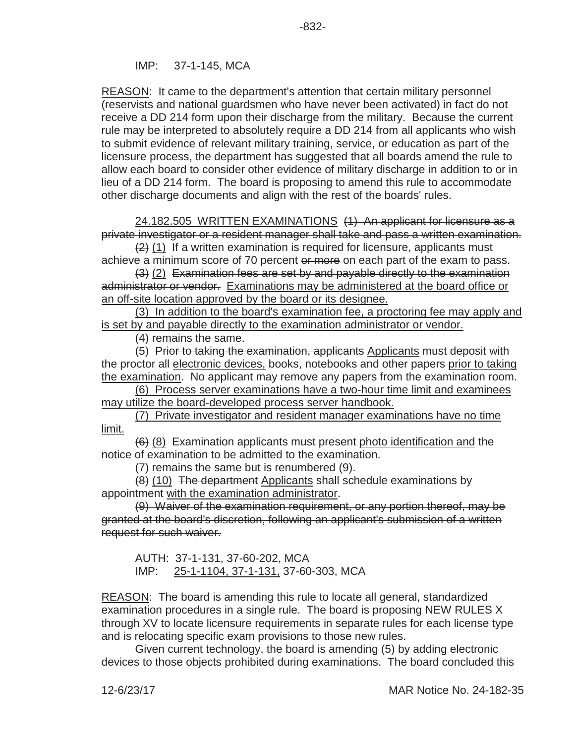IMP: 37-1-145, MCA

REASON: It came to the department's attention that certain military personnel (reservists and national guardsmen who have never been activated) in fact do not receive a DD 214 form upon their discharge from the military. Because the current rule may be interpreted to absolutely require a DD 214 from all applicants who wish to submit evidence of relevant military training, service, or education as part of the licensure process, the department has suggested that all boards amend the rule to allow each board to consider other evidence of military discharge in addition to or in lieu of a DD 214 form. The board is proposing to amend this rule to accommodate other discharge documents and align with the rest of the boards' rules.

24.182.505 WRITTEN EXAMINATIONS (1) An applicant for licensure as a private investigator or a resident manager shall take and pass a written examination.

 $(2)$  (1) If a written examination is required for licensure, applicants must achieve a minimum score of 70 percent or more on each part of the exam to pass.

(3) (2) Examination fees are set by and payable directly to the examination administrator or vendor. Examinations may be administered at the board office or an off-site location approved by the board or its designee.

(3) In addition to the board's examination fee, a proctoring fee may apply and is set by and payable directly to the examination administrator or vendor.

(4) remains the same.

(5) Prior to taking the examination, applicants Applicants must deposit with the proctor all electronic devices, books, notebooks and other papers prior to taking the examination. No applicant may remove any papers from the examination room.

(6) Process server examinations have a two-hour time limit and examinees may utilize the board-developed process server handbook.

(7) Private investigator and resident manager examinations have no time limit.

(6) (8) Examination applicants must present photo identification and the notice of examination to be admitted to the examination.

(7) remains the same but is renumbered (9).

(8) (10) The department Applicants shall schedule examinations by appointment with the examination administrator.

(9) Waiver of the examination requirement, or any portion thereof, may be granted at the board's discretion, following an applicant's submission of a written request for such waiver.

AUTH: 37-1-131, 37-60-202, MCA IMP: 25-1-1104, 37-1-131, 37-60-303, MCA

REASON: The board is amending this rule to locate all general, standardized examination procedures in a single rule. The board is proposing NEW RULES X through XV to locate licensure requirements in separate rules for each license type and is relocating specific exam provisions to those new rules.

Given current technology, the board is amending (5) by adding electronic devices to those objects prohibited during examinations. The board concluded this

12-6/23/17 MAR Notice No. 24-182-35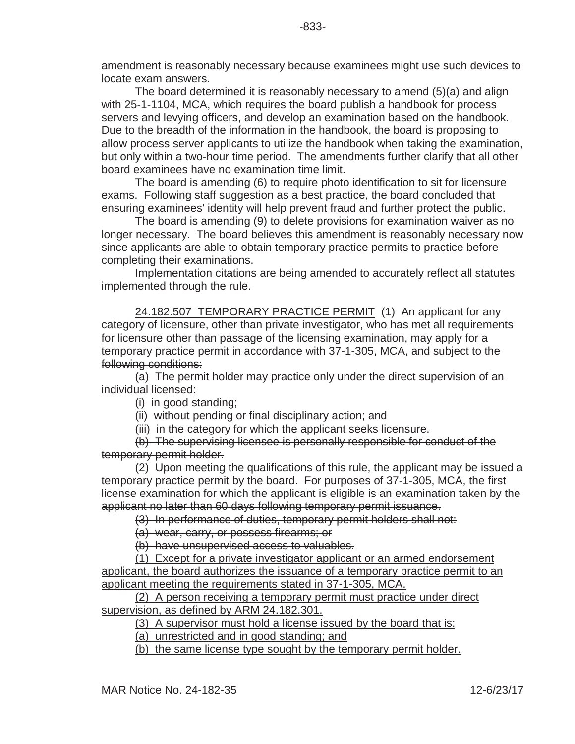The board determined it is reasonably necessary to amend (5)(a) and align with 25-1-1104, MCA, which requires the board publish a handbook for process servers and levying officers, and develop an examination based on the handbook. Due to the breadth of the information in the handbook, the board is proposing to allow process server applicants to utilize the handbook when taking the examination, but only within a two-hour time period. The amendments further clarify that all other board examinees have no examination time limit.

The board is amending (6) to require photo identification to sit for licensure exams. Following staff suggestion as a best practice, the board concluded that ensuring examinees' identity will help prevent fraud and further protect the public.

The board is amending (9) to delete provisions for examination waiver as no longer necessary. The board believes this amendment is reasonably necessary now since applicants are able to obtain temporary practice permits to practice before completing their examinations.

Implementation citations are being amended to accurately reflect all statutes implemented through the rule.

24.182.507 TEMPORARY PRACTICE PERMIT (1) An applicant for any category of licensure, other than private investigator, who has met all requirements for licensure other than passage of the licensing examination, may apply for a temporary practice permit in accordance with 37-1-305, MCA, and subject to the following conditions:

(a) The permit holder may practice only under the direct supervision of an individual licensed:

(i) in good standing;

(ii) without pending or final disciplinary action; and

(iii) in the category for which the applicant seeks licensure.

(b) The supervising licensee is personally responsible for conduct of the temporary permit holder.

(2) Upon meeting the qualifications of this rule, the applicant may be issued a temporary practice permit by the board. For purposes of 37-1-305, MCA, the first license examination for which the applicant is eligible is an examination taken by the applicant no later than 60 days following temporary permit issuance.

(3) In performance of duties, temporary permit holders shall not:

(a) wear, carry, or possess firearms; or

(b) have unsupervised access to valuables.

(1) Except for a private investigator applicant or an armed endorsement applicant, the board authorizes the issuance of a temporary practice permit to an applicant meeting the requirements stated in 37-1-305, MCA.

(2) A person receiving a temporary permit must practice under direct supervision, as defined by ARM 24.182.301.

(3) A supervisor must hold a license issued by the board that is:

(a) unrestricted and in good standing; and

(b) the same license type sought by the temporary permit holder.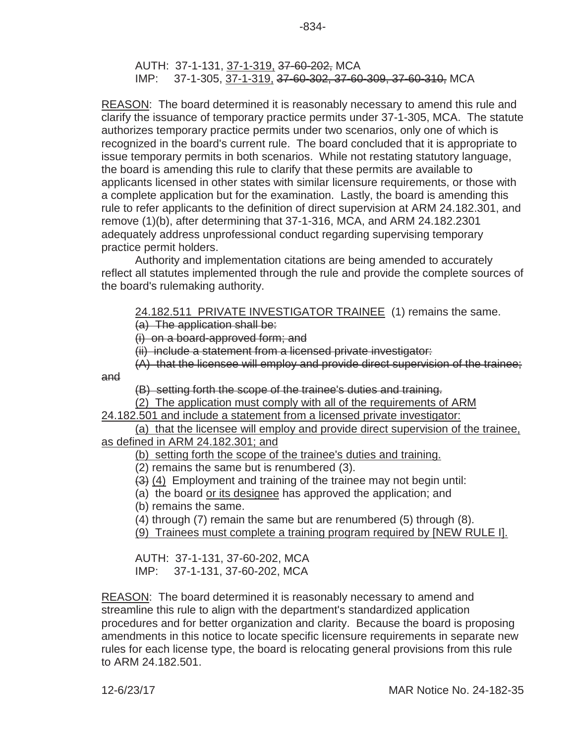REASON: The board determined it is reasonably necessary to amend this rule and clarify the issuance of temporary practice permits under 37-1-305, MCA. The statute authorizes temporary practice permits under two scenarios, only one of which is recognized in the board's current rule. The board concluded that it is appropriate to issue temporary permits in both scenarios. While not restating statutory language, the board is amending this rule to clarify that these permits are available to applicants licensed in other states with similar licensure requirements, or those with a complete application but for the examination. Lastly, the board is amending this rule to refer applicants to the definition of direct supervision at ARM 24.182.301, and remove (1)(b), after determining that 37-1-316, MCA, and ARM 24.182.2301 adequately address unprofessional conduct regarding supervising temporary practice permit holders.

Authority and implementation citations are being amended to accurately reflect all statutes implemented through the rule and provide the complete sources of the board's rulemaking authority.

# 24.182.511 PRIVATE INVESTIGATOR TRAINEE (1) remains the same.

(a) The application shall be:

(i) on a board-approved form; and

(ii) include a statement from a licensed private investigator:

(A) that the licensee will employ and provide direct supervision of the trainee;

and

(B) setting forth the scope of the trainee's duties and training.

(2) The application must comply with all of the requirements of ARM

24.182.501 and include a statement from a licensed private investigator:

(a) that the licensee will employ and provide direct supervision of the trainee, as defined in ARM 24.182.301; and

(b) setting forth the scope of the trainee's duties and training.

(2) remains the same but is renumbered (3).

(3) (4) Employment and training of the trainee may not begin until:

(a) the board or its designee has approved the application; and

(b) remains the same.

(4) through (7) remain the same but are renumbered (5) through (8).

(9) Trainees must complete a training program required by [NEW RULE I].

AUTH: 37-1-131, 37-60-202, MCA IMP: 37-1-131, 37-60-202, MCA

REASON: The board determined it is reasonably necessary to amend and streamline this rule to align with the department's standardized application procedures and for better organization and clarity. Because the board is proposing amendments in this notice to locate specific licensure requirements in separate new rules for each license type, the board is relocating general provisions from this rule to ARM 24.182.501.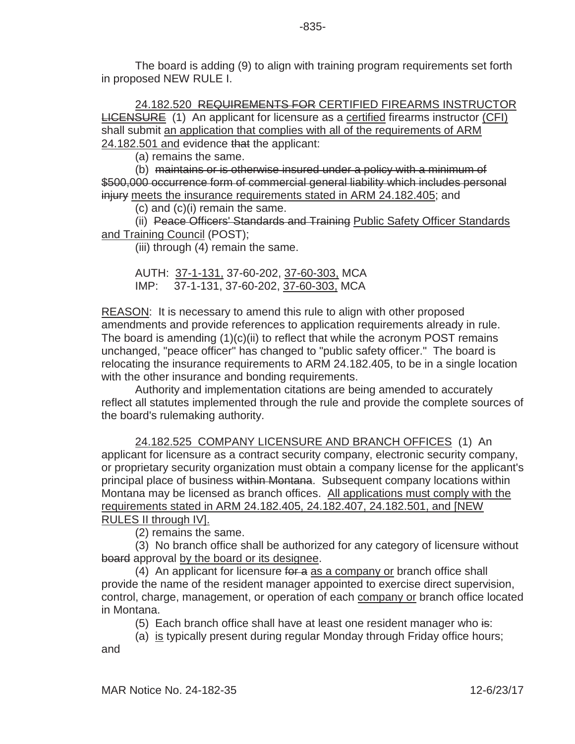The board is adding (9) to align with training program requirements set forth in proposed NEW RULE I.

24.182.520 REQUIREMENTS FOR CERTIFIED FIREARMS INSTRUCTOR LICENSURE (1) An applicant for licensure as a certified firearms instructor (CFI) shall submit an application that complies with all of the requirements of ARM 24.182.501 and evidence that the applicant:

(a) remains the same.

(b) maintains or is otherwise insured under a policy with a minimum of \$500,000 occurrence form of commercial general liability which includes personal injury meets the insurance requirements stated in ARM 24.182.405; and

(c) and (c)(i) remain the same.

(ii) Peace Officers' Standards and Training Public Safety Officer Standards and Training Council (POST);

(iii) through (4) remain the same.

AUTH: 37-1-131, 37-60-202, 37-60-303, MCA IMP: 37-1-131, 37-60-202, 37-60-303, MCA

REASON: It is necessary to amend this rule to align with other proposed amendments and provide references to application requirements already in rule. The board is amending  $(1)(c)(ii)$  to reflect that while the acronym POST remains unchanged, "peace officer" has changed to "public safety officer." The board is relocating the insurance requirements to ARM 24.182.405, to be in a single location with the other insurance and bonding requirements.

Authority and implementation citations are being amended to accurately reflect all statutes implemented through the rule and provide the complete sources of the board's rulemaking authority.

24.182.525 COMPANY LICENSURE AND BRANCH OFFICES (1) An applicant for licensure as a contract security company, electronic security company, or proprietary security organization must obtain a company license for the applicant's principal place of business within Montana. Subsequent company locations within Montana may be licensed as branch offices. All applications must comply with the requirements stated in ARM 24.182.405, 24.182.407, 24.182.501, and [NEW

RULES II through IV].

(2) remains the same.

(3) No branch office shall be authorized for any category of licensure without board approval by the board or its designee.

(4) An applicant for licensure for a as a company or branch office shall provide the name of the resident manager appointed to exercise direct supervision, control, charge, management, or operation of each company or branch office located in Montana.

(5) Each branch office shall have at least one resident manager who is:

(a) is typically present during regular Monday through Friday office hours;

and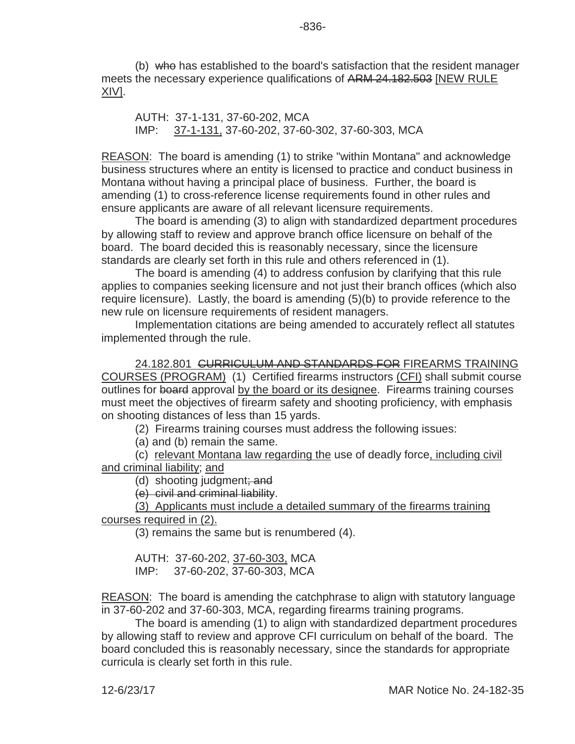(b) who has established to the board's satisfaction that the resident manager meets the necessary experience qualifications of ARM 24.182.503 [NEW RULE XIV].

AUTH: 37-1-131, 37-60-202, MCA IMP: 37-1-131, 37-60-202, 37-60-302, 37-60-303, MCA

REASON: The board is amending (1) to strike "within Montana" and acknowledge business structures where an entity is licensed to practice and conduct business in Montana without having a principal place of business. Further, the board is amending (1) to cross-reference license requirements found in other rules and ensure applicants are aware of all relevant licensure requirements.

The board is amending (3) to align with standardized department procedures by allowing staff to review and approve branch office licensure on behalf of the board. The board decided this is reasonably necessary, since the licensure standards are clearly set forth in this rule and others referenced in (1).

The board is amending (4) to address confusion by clarifying that this rule applies to companies seeking licensure and not just their branch offices (which also require licensure). Lastly, the board is amending (5)(b) to provide reference to the new rule on licensure requirements of resident managers.

Implementation citations are being amended to accurately reflect all statutes implemented through the rule.

24.182.801 CURRICULUM AND STANDARDS FOR FIREARMS TRAINING COURSES (PROGRAM) (1) Certified firearms instructors (CFI) shall submit course outlines for board approval by the board or its designee. Firearms training courses must meet the objectives of firearm safety and shooting proficiency, with emphasis on shooting distances of less than 15 yards.

(2) Firearms training courses must address the following issues:

(a) and (b) remain the same.

(c) relevant Montana law regarding the use of deadly force, including civil and criminal liability; and

(d) shooting judgment; and

(e) civil and criminal liability.

(3) Applicants must include a detailed summary of the firearms training courses required in (2).

(3) remains the same but is renumbered (4).

AUTH: 37-60-202, 37-60-303, MCA IMP: 37-60-202, 37-60-303, MCA

REASON: The board is amending the catchphrase to align with statutory language in 37-60-202 and 37-60-303, MCA, regarding firearms training programs.

The board is amending (1) to align with standardized department procedures by allowing staff to review and approve CFI curriculum on behalf of the board. The board concluded this is reasonably necessary, since the standards for appropriate curricula is clearly set forth in this rule.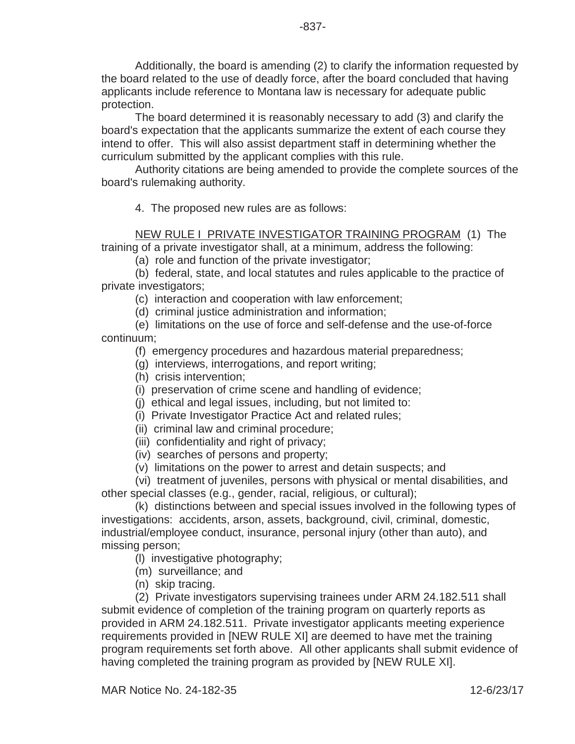Additionally, the board is amending (2) to clarify the information requested by the board related to the use of deadly force, after the board concluded that having applicants include reference to Montana law is necessary for adequate public protection.

The board determined it is reasonably necessary to add (3) and clarify the board's expectation that the applicants summarize the extent of each course they intend to offer. This will also assist department staff in determining whether the curriculum submitted by the applicant complies with this rule.

Authority citations are being amended to provide the complete sources of the board's rulemaking authority.

4. The proposed new rules are as follows:

NEW RULE I PRIVATE INVESTIGATOR TRAINING PROGRAM (1) The training of a private investigator shall, at a minimum, address the following:

(a) role and function of the private investigator;

(b) federal, state, and local statutes and rules applicable to the practice of private investigators;

(c) interaction and cooperation with law enforcement;

(d) criminal justice administration and information;

(e) limitations on the use of force and self-defense and the use-of-force continuum;

(f) emergency procedures and hazardous material preparedness;

(g) interviews, interrogations, and report writing;

- (h) crisis intervention;
- (i) preservation of crime scene and handling of evidence;
- (j) ethical and legal issues, including, but not limited to:
- (i) Private Investigator Practice Act and related rules;
- (ii) criminal law and criminal procedure;
- (iii) confidentiality and right of privacy;
- (iv) searches of persons and property;
- (v) limitations on the power to arrest and detain suspects; and

(vi) treatment of juveniles, persons with physical or mental disabilities, and other special classes (e.g., gender, racial, religious, or cultural);

(k) distinctions between and special issues involved in the following types of investigations: accidents, arson, assets, background, civil, criminal, domestic, industrial/employee conduct, insurance, personal injury (other than auto), and missing person;

(l) investigative photography;

- (m) surveillance; and
- (n) skip tracing.

(2) Private investigators supervising trainees under ARM 24.182.511 shall submit evidence of completion of the training program on quarterly reports as provided in ARM 24.182.511. Private investigator applicants meeting experience requirements provided in [NEW RULE XI] are deemed to have met the training program requirements set forth above. All other applicants shall submit evidence of having completed the training program as provided by [NEW RULE XI].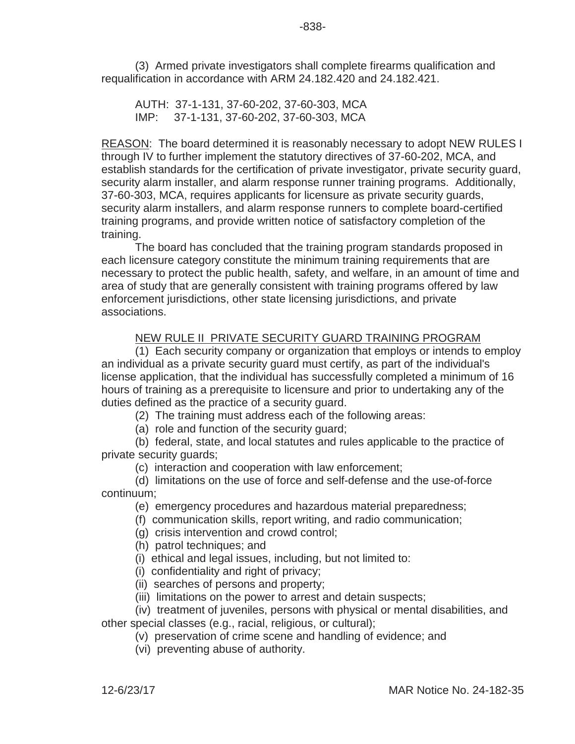(3) Armed private investigators shall complete firearms qualification and requalification in accordance with ARM 24.182.420 and 24.182.421.

AUTH: 37-1-131, 37-60-202, 37-60-303, MCA IMP: 37-1-131, 37-60-202, 37-60-303, MCA

REASON: The board determined it is reasonably necessary to adopt NEW RULES I through IV to further implement the statutory directives of 37-60-202, MCA, and establish standards for the certification of private investigator, private security guard, security alarm installer, and alarm response runner training programs. Additionally, 37-60-303, MCA, requires applicants for licensure as private security guards, security alarm installers, and alarm response runners to complete board-certified training programs, and provide written notice of satisfactory completion of the training.

The board has concluded that the training program standards proposed in each licensure category constitute the minimum training requirements that are necessary to protect the public health, safety, and welfare, in an amount of time and area of study that are generally consistent with training programs offered by law enforcement jurisdictions, other state licensing jurisdictions, and private associations.

# NEW RULE II PRIVATE SECURITY GUARD TRAINING PROGRAM

(1) Each security company or organization that employs or intends to employ an individual as a private security guard must certify, as part of the individual's license application, that the individual has successfully completed a minimum of 16 hours of training as a prerequisite to licensure and prior to undertaking any of the duties defined as the practice of a security guard.

(2) The training must address each of the following areas:

(a) role and function of the security guard;

(b) federal, state, and local statutes and rules applicable to the practice of private security guards;

(c) interaction and cooperation with law enforcement;

(d) limitations on the use of force and self-defense and the use-of-force continuum;

(e) emergency procedures and hazardous material preparedness;

(f) communication skills, report writing, and radio communication;

(g) crisis intervention and crowd control;

(h) patrol techniques; and

(i) ethical and legal issues, including, but not limited to:

(i) confidentiality and right of privacy;

(ii) searches of persons and property;

(iii) limitations on the power to arrest and detain suspects;

(iv) treatment of juveniles, persons with physical or mental disabilities, and other special classes (e.g., racial, religious, or cultural);

(v) preservation of crime scene and handling of evidence; and

(vi) preventing abuse of authority.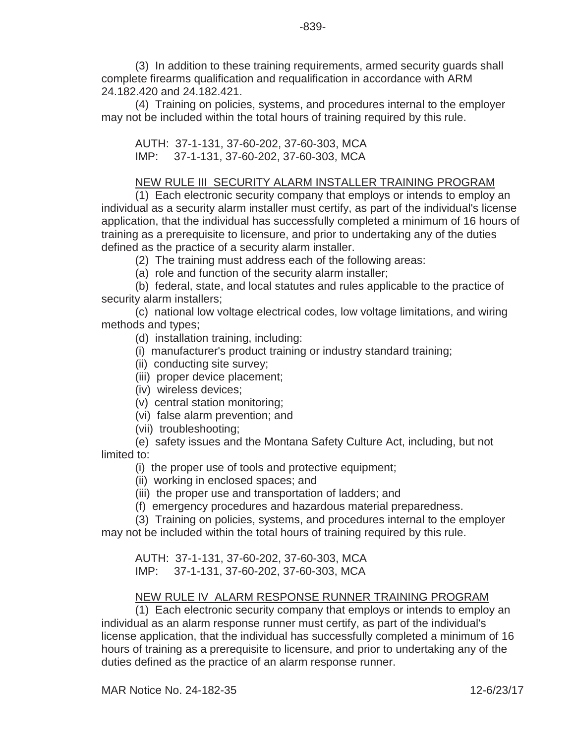(3) In addition to these training requirements, armed security guards shall complete firearms qualification and requalification in accordance with ARM 24.182.420 and 24.182.421.

(4) Training on policies, systems, and procedures internal to the employer may not be included within the total hours of training required by this rule.

AUTH: 37-1-131, 37-60-202, 37-60-303, MCA IMP: 37-1-131, 37-60-202, 37-60-303, MCA

## NEW RULE III SECURITY ALARM INSTALLER TRAINING PROGRAM

(1) Each electronic security company that employs or intends to employ an individual as a security alarm installer must certify, as part of the individual's license application, that the individual has successfully completed a minimum of 16 hours of training as a prerequisite to licensure, and prior to undertaking any of the duties defined as the practice of a security alarm installer.

(2) The training must address each of the following areas:

(a) role and function of the security alarm installer;

(b) federal, state, and local statutes and rules applicable to the practice of security alarm installers;

(c) national low voltage electrical codes, low voltage limitations, and wiring methods and types;

(d) installation training, including:

- (i) manufacturer's product training or industry standard training;
- (ii) conducting site survey;
- (iii) proper device placement;
- (iv) wireless devices;
- (v) central station monitoring;
- (vi) false alarm prevention; and
- (vii) troubleshooting;

(e) safety issues and the Montana Safety Culture Act, including, but not limited to:

(i) the proper use of tools and protective equipment;

(ii) working in enclosed spaces; and

(iii) the proper use and transportation of ladders; and

(f) emergency procedures and hazardous material preparedness.

(3) Training on policies, systems, and procedures internal to the employer

may not be included within the total hours of training required by this rule.

AUTH: 37-1-131, 37-60-202, 37-60-303, MCA IMP: 37-1-131, 37-60-202, 37-60-303, MCA

### NEW RULE IV ALARM RESPONSE RUNNER TRAINING PROGRAM

(1) Each electronic security company that employs or intends to employ an individual as an alarm response runner must certify, as part of the individual's license application, that the individual has successfully completed a minimum of 16 hours of training as a prerequisite to licensure, and prior to undertaking any of the duties defined as the practice of an alarm response runner.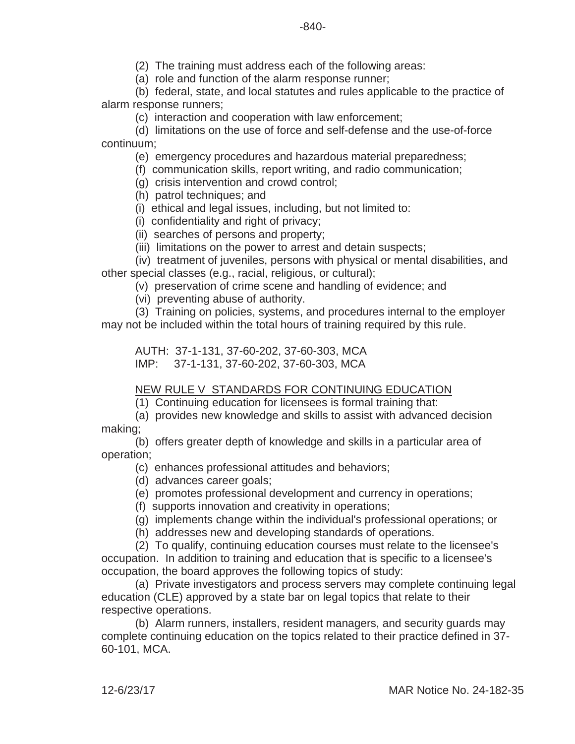(2) The training must address each of the following areas:

(a) role and function of the alarm response runner;

(b) federal, state, and local statutes and rules applicable to the practice of alarm response runners;

(c) interaction and cooperation with law enforcement;

(d) limitations on the use of force and self-defense and the use-of-force continuum;

(e) emergency procedures and hazardous material preparedness;

(f) communication skills, report writing, and radio communication;

(g) crisis intervention and crowd control;

(h) patrol techniques; and

(i) ethical and legal issues, including, but not limited to:

(i) confidentiality and right of privacy;

(ii) searches of persons and property;

(iii) limitations on the power to arrest and detain suspects;

(iv) treatment of juveniles, persons with physical or mental disabilities, and other special classes (e.g., racial, religious, or cultural);

(v) preservation of crime scene and handling of evidence; and

(vi) preventing abuse of authority.

(3) Training on policies, systems, and procedures internal to the employer may not be included within the total hours of training required by this rule.

AUTH: 37-1-131, 37-60-202, 37-60-303, MCA IMP: 37-1-131, 37-60-202, 37-60-303, MCA

### NEW RULE V STANDARDS FOR CONTINUING EDUCATION

(1) Continuing education for licensees is formal training that:

(a) provides new knowledge and skills to assist with advanced decision making;

(b) offers greater depth of knowledge and skills in a particular area of operation;

(c) enhances professional attitudes and behaviors;

(d) advances career goals;

(e) promotes professional development and currency in operations;

(f) supports innovation and creativity in operations;

(g) implements change within the individual's professional operations; or

(h) addresses new and developing standards of operations.

(2) To qualify, continuing education courses must relate to the licensee's occupation. In addition to training and education that is specific to a licensee's occupation, the board approves the following topics of study:

(a) Private investigators and process servers may complete continuing legal education (CLE) approved by a state bar on legal topics that relate to their respective operations.

(b) Alarm runners, installers, resident managers, and security guards may complete continuing education on the topics related to their practice defined in 37- 60-101, MCA.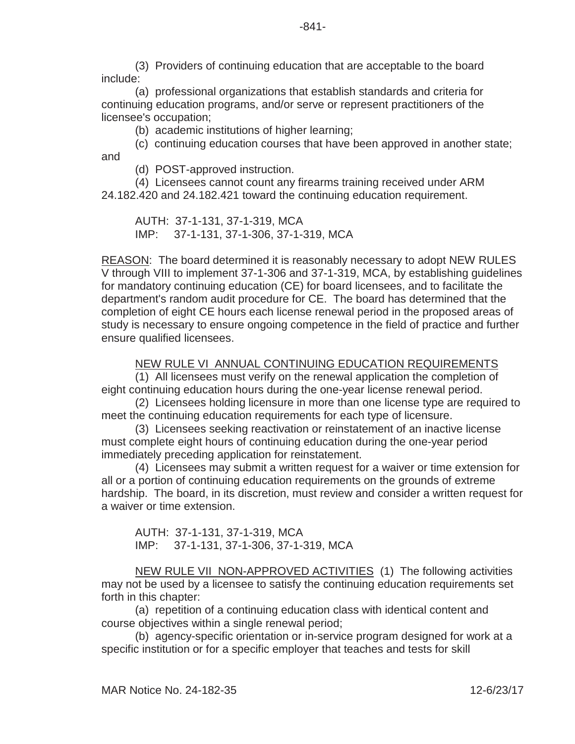(3) Providers of continuing education that are acceptable to the board include:

(a) professional organizations that establish standards and criteria for continuing education programs, and/or serve or represent practitioners of the licensee's occupation;

(b) academic institutions of higher learning;

(c) continuing education courses that have been approved in another state; and

(d) POST-approved instruction.

(4) Licensees cannot count any firearms training received under ARM

24.182.420 and 24.182.421 toward the continuing education requirement.

AUTH: 37-1-131, 37-1-319, MCA IMP: 37-1-131, 37-1-306, 37-1-319, MCA

REASON: The board determined it is reasonably necessary to adopt NEW RULES V through VIII to implement 37-1-306 and 37-1-319, MCA, by establishing guidelines for mandatory continuing education (CE) for board licensees, and to facilitate the department's random audit procedure for CE. The board has determined that the completion of eight CE hours each license renewal period in the proposed areas of study is necessary to ensure ongoing competence in the field of practice and further ensure qualified licensees.

# NEW RULE VI ANNUAL CONTINUING EDUCATION REQUIREMENTS

(1) All licensees must verify on the renewal application the completion of eight continuing education hours during the one-year license renewal period.

(2) Licensees holding licensure in more than one license type are required to meet the continuing education requirements for each type of licensure.

(3) Licensees seeking reactivation or reinstatement of an inactive license must complete eight hours of continuing education during the one-year period immediately preceding application for reinstatement.

(4) Licensees may submit a written request for a waiver or time extension for all or a portion of continuing education requirements on the grounds of extreme hardship. The board, in its discretion, must review and consider a written request for a waiver or time extension.

AUTH: 37-1-131, 37-1-319, MCA IMP: 37-1-131, 37-1-306, 37-1-319, MCA

NEW RULE VII NON-APPROVED ACTIVITIES (1) The following activities may not be used by a licensee to satisfy the continuing education requirements set forth in this chapter:

(a) repetition of a continuing education class with identical content and course objectives within a single renewal period;

(b) agency-specific orientation or in-service program designed for work at a specific institution or for a specific employer that teaches and tests for skill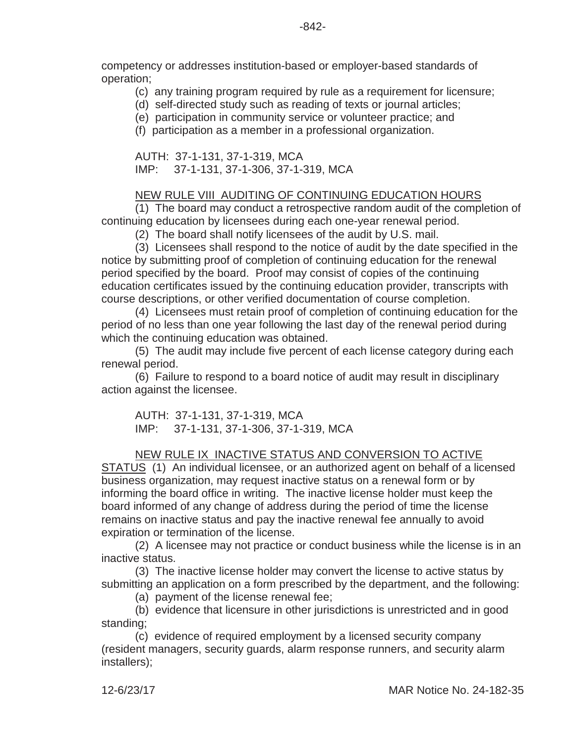competency or addresses institution-based or employer-based standards of operation;

(c) any training program required by rule as a requirement for licensure;

(d) self-directed study such as reading of texts or journal articles;

(e) participation in community service or volunteer practice; and

(f) participation as a member in a professional organization.

AUTH: 37-1-131, 37-1-319, MCA IMP: 37-1-131, 37-1-306, 37-1-319, MCA

#### NEW RULE VIII AUDITING OF CONTINUING EDUCATION HOURS

(1) The board may conduct a retrospective random audit of the completion of continuing education by licensees during each one-year renewal period.

(2) The board shall notify licensees of the audit by U.S. mail.

(3) Licensees shall respond to the notice of audit by the date specified in the notice by submitting proof of completion of continuing education for the renewal period specified by the board. Proof may consist of copies of the continuing education certificates issued by the continuing education provider, transcripts with course descriptions, or other verified documentation of course completion.

(4) Licensees must retain proof of completion of continuing education for the period of no less than one year following the last day of the renewal period during which the continuing education was obtained.

(5) The audit may include five percent of each license category during each renewal period.

(6) Failure to respond to a board notice of audit may result in disciplinary action against the licensee.

AUTH: 37-1-131, 37-1-319, MCA IMP: 37-1-131, 37-1-306, 37-1-319, MCA

#### NEW RULE IX INACTIVE STATUS AND CONVERSION TO ACTIVE

STATUS (1) An individual licensee, or an authorized agent on behalf of a licensed business organization, may request inactive status on a renewal form or by informing the board office in writing. The inactive license holder must keep the board informed of any change of address during the period of time the license remains on inactive status and pay the inactive renewal fee annually to avoid expiration or termination of the license.

(2) A licensee may not practice or conduct business while the license is in an inactive status.

(3) The inactive license holder may convert the license to active status by submitting an application on a form prescribed by the department, and the following:

(a) payment of the license renewal fee;

(b) evidence that licensure in other jurisdictions is unrestricted and in good standing;

(c) evidence of required employment by a licensed security company (resident managers, security guards, alarm response runners, and security alarm installers);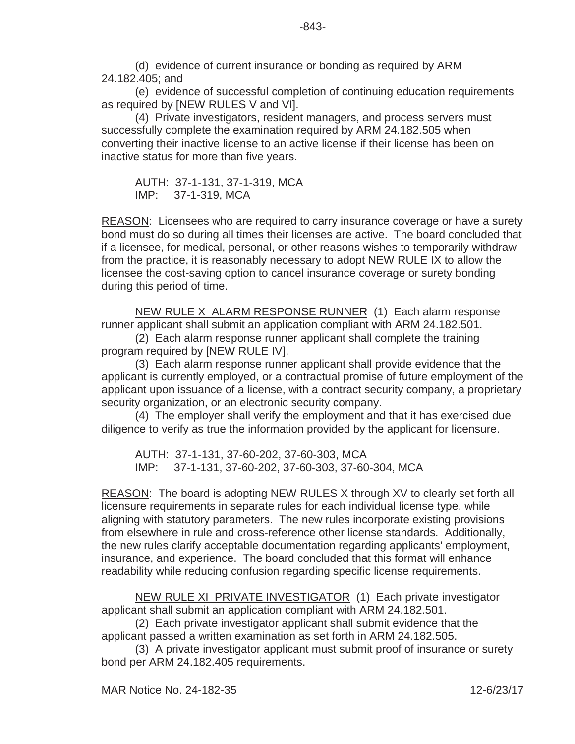(d) evidence of current insurance or bonding as required by ARM 24.182.405; and

(e) evidence of successful completion of continuing education requirements as required by [NEW RULES V and VI].

(4) Private investigators, resident managers, and process servers must successfully complete the examination required by ARM 24.182.505 when converting their inactive license to an active license if their license has been on inactive status for more than five years.

AUTH: 37-1-131, 37-1-319, MCA IMP: 37-1-319, MCA

REASON: Licensees who are required to carry insurance coverage or have a surety bond must do so during all times their licenses are active. The board concluded that if a licensee, for medical, personal, or other reasons wishes to temporarily withdraw from the practice, it is reasonably necessary to adopt NEW RULE IX to allow the licensee the cost-saving option to cancel insurance coverage or surety bonding during this period of time.

NEW RULE X ALARM RESPONSE RUNNER (1) Each alarm response runner applicant shall submit an application compliant with ARM 24.182.501.

(2) Each alarm response runner applicant shall complete the training program required by [NEW RULE IV].

(3) Each alarm response runner applicant shall provide evidence that the applicant is currently employed, or a contractual promise of future employment of the applicant upon issuance of a license, with a contract security company, a proprietary security organization, or an electronic security company.

(4) The employer shall verify the employment and that it has exercised due diligence to verify as true the information provided by the applicant for licensure.

AUTH: 37-1-131, 37-60-202, 37-60-303, MCA IMP: 37-1-131, 37-60-202, 37-60-303, 37-60-304, MCA

REASON: The board is adopting NEW RULES X through XV to clearly set forth all licensure requirements in separate rules for each individual license type, while aligning with statutory parameters. The new rules incorporate existing provisions from elsewhere in rule and cross-reference other license standards. Additionally, the new rules clarify acceptable documentation regarding applicants' employment, insurance, and experience. The board concluded that this format will enhance readability while reducing confusion regarding specific license requirements.

NEW RULE XI PRIVATE INVESTIGATOR (1) Each private investigator applicant shall submit an application compliant with ARM 24.182.501.

(2) Each private investigator applicant shall submit evidence that the applicant passed a written examination as set forth in ARM 24.182.505.

(3) A private investigator applicant must submit proof of insurance or surety bond per ARM 24.182.405 requirements.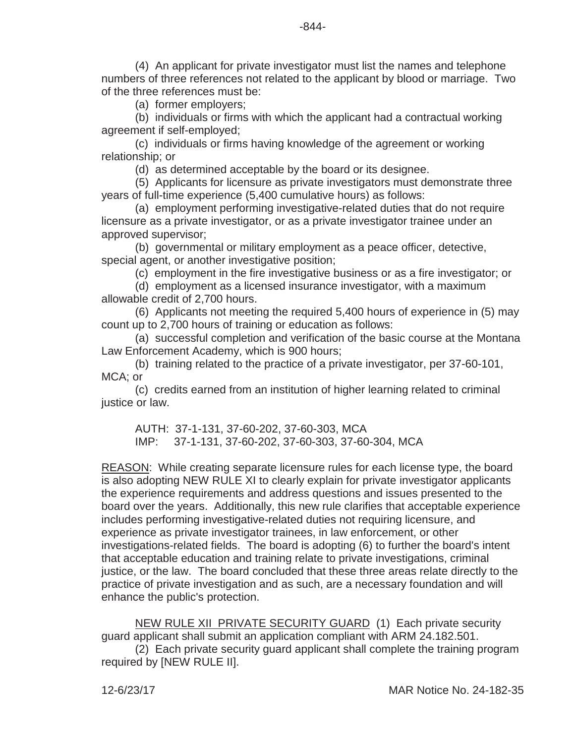(4) An applicant for private investigator must list the names and telephone numbers of three references not related to the applicant by blood or marriage. Two of the three references must be:

(a) former employers;

(b) individuals or firms with which the applicant had a contractual working agreement if self-employed;

(c) individuals or firms having knowledge of the agreement or working relationship; or

(d) as determined acceptable by the board or its designee.

(5) Applicants for licensure as private investigators must demonstrate three years of full-time experience (5,400 cumulative hours) as follows:

(a) employment performing investigative-related duties that do not require licensure as a private investigator, or as a private investigator trainee under an approved supervisor;

(b) governmental or military employment as a peace officer, detective, special agent, or another investigative position;

(c) employment in the fire investigative business or as a fire investigator; or

(d) employment as a licensed insurance investigator, with a maximum allowable credit of 2,700 hours.

(6) Applicants not meeting the required 5,400 hours of experience in (5) may count up to 2,700 hours of training or education as follows:

(a) successful completion and verification of the basic course at the Montana Law Enforcement Academy, which is 900 hours;

(b) training related to the practice of a private investigator, per 37-60-101, MCA; or

(c) credits earned from an institution of higher learning related to criminal justice or law.

AUTH: 37-1-131, 37-60-202, 37-60-303, MCA IMP: 37-1-131, 37-60-202, 37-60-303, 37-60-304, MCA

REASON: While creating separate licensure rules for each license type, the board is also adopting NEW RULE XI to clearly explain for private investigator applicants the experience requirements and address questions and issues presented to the board over the years. Additionally, this new rule clarifies that acceptable experience includes performing investigative-related duties not requiring licensure, and experience as private investigator trainees, in law enforcement, or other investigations-related fields. The board is adopting (6) to further the board's intent that acceptable education and training relate to private investigations, criminal justice, or the law. The board concluded that these three areas relate directly to the practice of private investigation and as such, are a necessary foundation and will enhance the public's protection.

NEW RULE XII PRIVATE SECURITY GUARD (1) Each private security guard applicant shall submit an application compliant with ARM 24.182.501.

(2) Each private security guard applicant shall complete the training program required by [NEW RULE II].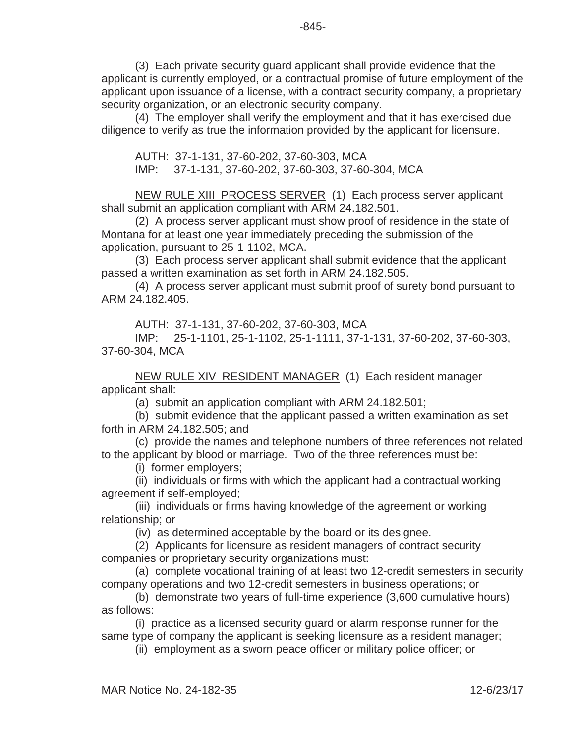(3) Each private security guard applicant shall provide evidence that the applicant is currently employed, or a contractual promise of future employment of the applicant upon issuance of a license, with a contract security company, a proprietary security organization, or an electronic security company.

(4) The employer shall verify the employment and that it has exercised due diligence to verify as true the information provided by the applicant for licensure.

AUTH: 37-1-131, 37-60-202, 37-60-303, MCA IMP: 37-1-131, 37-60-202, 37-60-303, 37-60-304, MCA

NEW RULE XIII PROCESS SERVER (1) Each process server applicant shall submit an application compliant with ARM 24.182.501.

(2) A process server applicant must show proof of residence in the state of Montana for at least one year immediately preceding the submission of the application, pursuant to 25-1-1102, MCA.

(3) Each process server applicant shall submit evidence that the applicant passed a written examination as set forth in ARM 24.182.505.

(4) A process server applicant must submit proof of surety bond pursuant to ARM 24.182.405.

AUTH: 37-1-131, 37-60-202, 37-60-303, MCA

IMP: 25-1-1101, 25-1-1102, 25-1-1111, 37-1-131, 37-60-202, 37-60-303, 37-60-304, MCA

NEW RULE XIV RESIDENT MANAGER (1) Each resident manager applicant shall:

(a) submit an application compliant with ARM 24.182.501;

(b) submit evidence that the applicant passed a written examination as set forth in ARM 24.182.505; and

(c) provide the names and telephone numbers of three references not related to the applicant by blood or marriage. Two of the three references must be:

(i) former employers;

(ii) individuals or firms with which the applicant had a contractual working agreement if self-employed;

(iii) individuals or firms having knowledge of the agreement or working relationship; or

(iv) as determined acceptable by the board or its designee.

(2) Applicants for licensure as resident managers of contract security companies or proprietary security organizations must:

(a) complete vocational training of at least two 12-credit semesters in security company operations and two 12-credit semesters in business operations; or

(b) demonstrate two years of full-time experience (3,600 cumulative hours) as follows:

(i) practice as a licensed security guard or alarm response runner for the same type of company the applicant is seeking licensure as a resident manager;

(ii) employment as a sworn peace officer or military police officer; or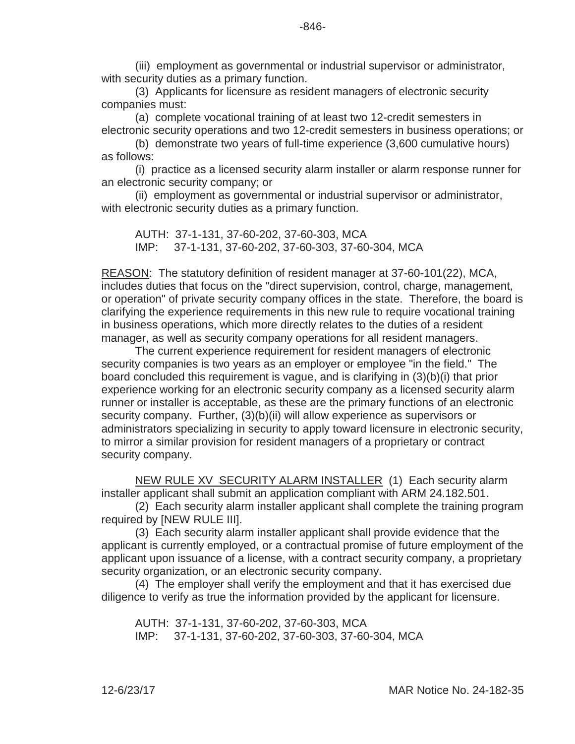(iii) employment as governmental or industrial supervisor or administrator, with security duties as a primary function.

(3) Applicants for licensure as resident managers of electronic security companies must:

(a) complete vocational training of at least two 12-credit semesters in electronic security operations and two 12-credit semesters in business operations; or

(b) demonstrate two years of full-time experience (3,600 cumulative hours) as follows:

(i) practice as a licensed security alarm installer or alarm response runner for an electronic security company; or

(ii) employment as governmental or industrial supervisor or administrator, with electronic security duties as a primary function.

AUTH: 37-1-131, 37-60-202, 37-60-303, MCA IMP: 37-1-131, 37-60-202, 37-60-303, 37-60-304, MCA

REASON: The statutory definition of resident manager at 37-60-101(22), MCA, includes duties that focus on the "direct supervision, control, charge, management, or operation" of private security company offices in the state. Therefore, the board is clarifying the experience requirements in this new rule to require vocational training in business operations, which more directly relates to the duties of a resident manager, as well as security company operations for all resident managers.

The current experience requirement for resident managers of electronic security companies is two years as an employer or employee "in the field." The board concluded this requirement is vague, and is clarifying in (3)(b)(i) that prior experience working for an electronic security company as a licensed security alarm runner or installer is acceptable, as these are the primary functions of an electronic security company. Further, (3)(b)(ii) will allow experience as supervisors or administrators specializing in security to apply toward licensure in electronic security, to mirror a similar provision for resident managers of a proprietary or contract security company.

NEW RULE XV SECURITY ALARM INSTALLER (1) Each security alarm installer applicant shall submit an application compliant with ARM 24.182.501.

(2) Each security alarm installer applicant shall complete the training program required by [NEW RULE III].

(3) Each security alarm installer applicant shall provide evidence that the applicant is currently employed, or a contractual promise of future employment of the applicant upon issuance of a license, with a contract security company, a proprietary security organization, or an electronic security company.

(4) The employer shall verify the employment and that it has exercised due diligence to verify as true the information provided by the applicant for licensure.

AUTH: 37-1-131, 37-60-202, 37-60-303, MCA IMP: 37-1-131, 37-60-202, 37-60-303, 37-60-304, MCA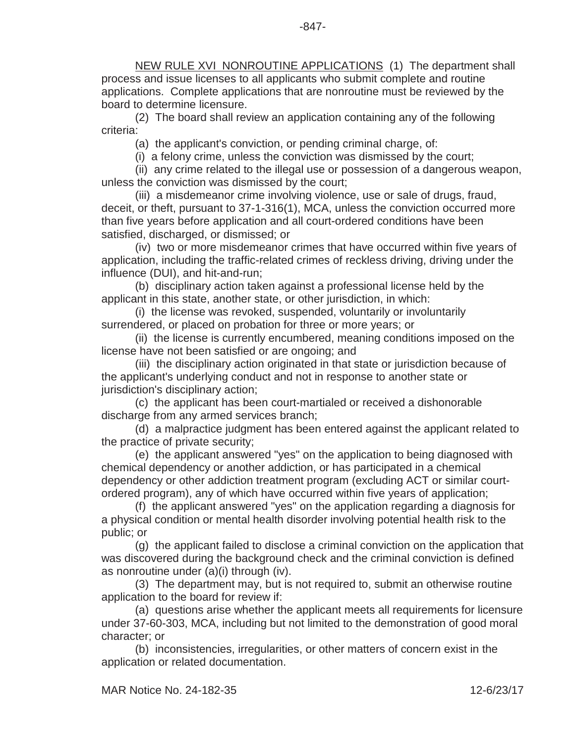NEW RULE XVI NONROUTINE APPLICATIONS (1) The department shall process and issue licenses to all applicants who submit complete and routine applications. Complete applications that are nonroutine must be reviewed by the board to determine licensure.

(2) The board shall review an application containing any of the following criteria:

(a) the applicant's conviction, or pending criminal charge, of:

(i) a felony crime, unless the conviction was dismissed by the court;

(ii) any crime related to the illegal use or possession of a dangerous weapon, unless the conviction was dismissed by the court;

(iii) a misdemeanor crime involving violence, use or sale of drugs, fraud, deceit, or theft, pursuant to 37-1-316(1), MCA, unless the conviction occurred more than five years before application and all court-ordered conditions have been satisfied, discharged, or dismissed; or

(iv) two or more misdemeanor crimes that have occurred within five years of application, including the traffic-related crimes of reckless driving, driving under the influence (DUI), and hit-and-run;

(b) disciplinary action taken against a professional license held by the applicant in this state, another state, or other jurisdiction, in which:

(i) the license was revoked, suspended, voluntarily or involuntarily surrendered, or placed on probation for three or more years; or

(ii) the license is currently encumbered, meaning conditions imposed on the license have not been satisfied or are ongoing; and

(iii) the disciplinary action originated in that state or jurisdiction because of the applicant's underlying conduct and not in response to another state or jurisdiction's disciplinary action;

(c) the applicant has been court-martialed or received a dishonorable discharge from any armed services branch;

(d) a malpractice judgment has been entered against the applicant related to the practice of private security;

(e) the applicant answered "yes" on the application to being diagnosed with chemical dependency or another addiction, or has participated in a chemical dependency or other addiction treatment program (excluding ACT or similar courtordered program), any of which have occurred within five years of application;

(f) the applicant answered "yes" on the application regarding a diagnosis for a physical condition or mental health disorder involving potential health risk to the public; or

(g) the applicant failed to disclose a criminal conviction on the application that was discovered during the background check and the criminal conviction is defined as nonroutine under (a)(i) through (iv).

(3) The department may, but is not required to, submit an otherwise routine application to the board for review if:

(a) questions arise whether the applicant meets all requirements for licensure under 37-60-303, MCA, including but not limited to the demonstration of good moral character; or

(b) inconsistencies, irregularities, or other matters of concern exist in the application or related documentation.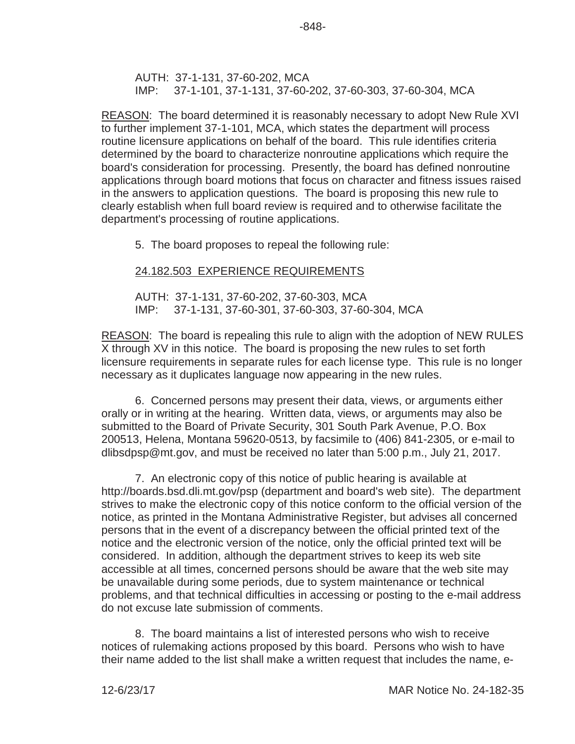AUTH: 37-1-131, 37-60-202, MCA IMP: 37-1-101, 37-1-131, 37-60-202, 37-60-303, 37-60-304, MCA

-848-

REASON: The board determined it is reasonably necessary to adopt New Rule XVI to further implement 37-1-101, MCA, which states the department will process routine licensure applications on behalf of the board. This rule identifies criteria determined by the board to characterize nonroutine applications which require the board's consideration for processing. Presently, the board has defined nonroutine applications through board motions that focus on character and fitness issues raised in the answers to application questions. The board is proposing this new rule to clearly establish when full board review is required and to otherwise facilitate the department's processing of routine applications.

5. The board proposes to repeal the following rule:

### 24.182.503 EXPERIENCE REQUIREMENTS

AUTH: 37-1-131, 37-60-202, 37-60-303, MCA IMP: 37-1-131, 37-60-301, 37-60-303, 37-60-304, MCA

REASON: The board is repealing this rule to align with the adoption of NEW RULES X through XV in this notice. The board is proposing the new rules to set forth licensure requirements in separate rules for each license type. This rule is no longer necessary as it duplicates language now appearing in the new rules.

6. Concerned persons may present their data, views, or arguments either orally or in writing at the hearing. Written data, views, or arguments may also be submitted to the Board of Private Security, 301 South Park Avenue, P.O. Box 200513, Helena, Montana 59620-0513, by facsimile to (406) 841-2305, or e-mail to dlibsdpsp@mt.gov, and must be received no later than 5:00 p.m., July 21, 2017.

7. An electronic copy of this notice of public hearing is available at http://boards.bsd.dli.mt.gov/psp (department and board's web site). The department strives to make the electronic copy of this notice conform to the official version of the notice, as printed in the Montana Administrative Register, but advises all concerned persons that in the event of a discrepancy between the official printed text of the notice and the electronic version of the notice, only the official printed text will be considered. In addition, although the department strives to keep its web site accessible at all times, concerned persons should be aware that the web site may be unavailable during some periods, due to system maintenance or technical problems, and that technical difficulties in accessing or posting to the e-mail address do not excuse late submission of comments.

8. The board maintains a list of interested persons who wish to receive notices of rulemaking actions proposed by this board. Persons who wish to have their name added to the list shall make a written request that includes the name, e